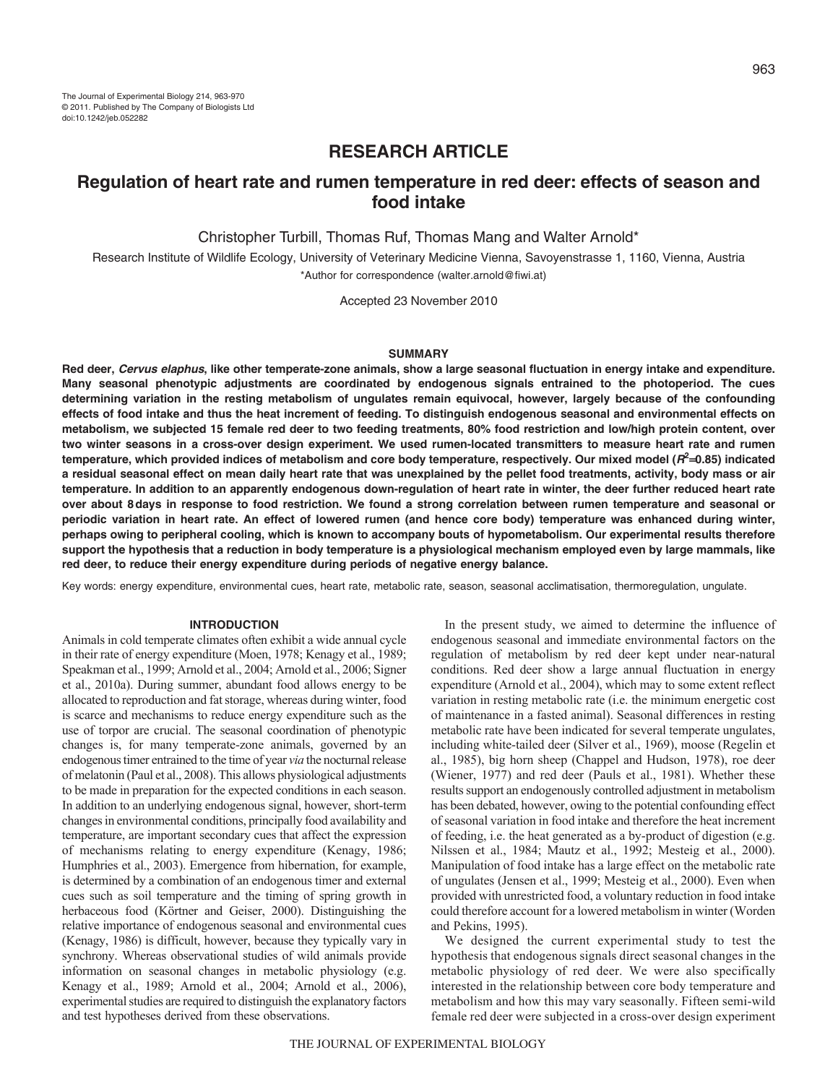# **RESEARCH ARTICLE**

# **Regulation of heart rate and rumen temperature in red deer: effects of season and food intake**

Christopher Turbill, Thomas Ruf, Thomas Mang and Walter Arnold\*

Research Institute of Wildlife Ecology, University of Veterinary Medicine Vienna, Savoyenstrasse 1, 1160, Vienna, Austria \*Author for correspondence (walter.arnold@fiwi.at)

Accepted 23 November 2010

# **SUMMARY**

**Red deer, Cervus elaphus, like other temperate-zone animals, show a large seasonal fluctuation in energy intake and expenditure. Many seasonal phenotypic adjustments are coordinated by endogenous signals entrained to the photoperiod. The cues determining variation in the resting metabolism of ungulates remain equivocal, however, largely because of the confounding effects of food intake and thus the heat increment of feeding. To distinguish endogenous seasonal and environmental effects on metabolism, we subjected 15 female red deer to two feeding treatments, 80% food restriction and low/high protein content, over two winter seasons in a cross-over design experiment. We used rumen-located transmitters to measure heart rate and rumen temperature, which provided indices of metabolism and core body temperature, respectively. Our mixed model (R20.85) indicated a residual seasonal effect on mean daily heart rate that was unexplained by the pellet food treatments, activity, body mass or air temperature. In addition to an apparently endogenous down-regulation of heart rate in winter, the deer further reduced heart rate over about 8days in response to food restriction. We found a strong correlation between rumen temperature and seasonal or periodic variation in heart rate. An effect of lowered rumen (and hence core body) temperature was enhanced during winter, perhaps owing to peripheral cooling, which is known to accompany bouts of hypometabolism. Our experimental results therefore support the hypothesis that a reduction in body temperature is a physiological mechanism employed even by large mammals, like red deer, to reduce their energy expenditure during periods of negative energy balance.**

Key words: energy expenditure, environmental cues, heart rate, metabolic rate, season, seasonal acclimatisation, thermoregulation, ungulate.

# **INTRODUCTION**

Animals in cold temperate climates often exhibit a wide annual cycle in their rate of energy expenditure (Moen, 1978; Kenagy et al., 1989; Speakman et al., 1999; Arnold et al., 2004; Arnold et al., 2006; Signer et al., 2010a). During summer, abundant food allows energy to be allocated to reproduction and fat storage, whereas during winter, food is scarce and mechanisms to reduce energy expenditure such as the use of torpor are crucial. The seasonal coordination of phenotypic changes is, for many temperate-zone animals, governed by an endogenous timer entrained to the time of year *via* the nocturnal release of melatonin (Paul et al., 2008). This allows physiological adjustments to be made in preparation for the expected conditions in each season. In addition to an underlying endogenous signal, however, short-term changes in environmental conditions, principally food availability and temperature, are important secondary cues that affect the expression of mechanisms relating to energy expenditure (Kenagy, 1986; Humphries et al., 2003). Emergence from hibernation, for example, is determined by a combination of an endogenous timer and external cues such as soil temperature and the timing of spring growth in herbaceous food (Körtner and Geiser, 2000). Distinguishing the relative importance of endogenous seasonal and environmental cues (Kenagy, 1986) is difficult, however, because they typically vary in synchrony. Whereas observational studies of wild animals provide information on seasonal changes in metabolic physiology (e.g. Kenagy et al., 1989; Arnold et al., 2004; Arnold et al., 2006), experimental studies are required to distinguish the explanatory factors and test hypotheses derived from these observations.

In the present study, we aimed to determine the influence of endogenous seasonal and immediate environmental factors on the regulation of metabolism by red deer kept under near-natural conditions. Red deer show a large annual fluctuation in energy expenditure (Arnold et al., 2004), which may to some extent reflect variation in resting metabolic rate (i.e. the minimum energetic cost of maintenance in a fasted animal). Seasonal differences in resting metabolic rate have been indicated for several temperate ungulates, including white-tailed deer (Silver et al., 1969), moose (Regelin et al., 1985), big horn sheep (Chappel and Hudson, 1978), roe deer (Wiener, 1977) and red deer (Pauls et al., 1981). Whether these results support an endogenously controlled adjustment in metabolism has been debated, however, owing to the potential confounding effect of seasonal variation in food intake and therefore the heat increment of feeding, i.e. the heat generated as a by-product of digestion (e.g. Nilssen et al., 1984; Mautz et al., 1992; Mesteig et al., 2000). Manipulation of food intake has a large effect on the metabolic rate of ungulates (Jensen et al., 1999; Mesteig et al., 2000). Even when provided with unrestricted food, a voluntary reduction in food intake could therefore account for a lowered metabolism in winter (Worden and Pekins, 1995).

We designed the current experimental study to test the hypothesis that endogenous signals direct seasonal changes in the metabolic physiology of red deer. We were also specifically interested in the relationship between core body temperature and metabolism and how this may vary seasonally. Fifteen semi-wild female red deer were subjected in a cross-over design experiment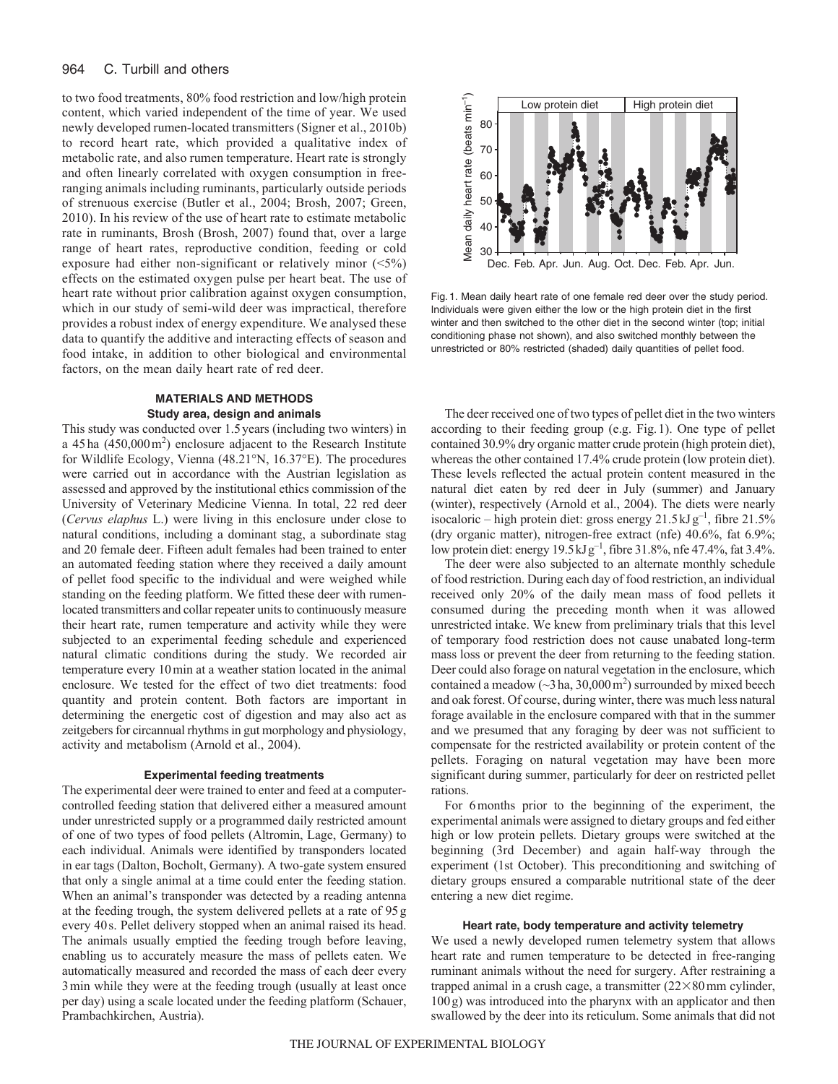#### 964 C. Turbill and others

to two food treatments, 80% food restriction and low/high protein content, which varied independent of the time of year. We used newly developed rumen-located transmitters (Signer et al., 2010b) to record heart rate, which provided a qualitative index of metabolic rate, and also rumen temperature. Heart rate is strongly and often linearly correlated with oxygen consumption in freeranging animals including ruminants, particularly outside periods of strenuous exercise (Butler et al., 2004; Brosh, 2007; Green, 2010). In his review of the use of heart rate to estimate metabolic rate in ruminants, Brosh (Brosh, 2007) found that, over a large range of heart rates, reproductive condition, feeding or cold exposure had either non-significant or relatively minor (<5%) effects on the estimated oxygen pulse per heart beat. The use of heart rate without prior calibration against oxygen consumption, which in our study of semi-wild deer was impractical, therefore provides a robust index of energy expenditure. We analysed these data to quantify the additive and interacting effects of season and food intake, in addition to other biological and environmental factors, on the mean daily heart rate of red deer.

# **MATERIALS AND METHODS Study area, design and animals**

This study was conducted over 1.5years (including two winters) in a 45ha (450,000m<sup>2</sup>) enclosure adjacent to the Research Institute for Wildlife Ecology, Vienna (48.21°N, 16.37°E). The procedures were carried out in accordance with the Austrian legislation as assessed and approved by the institutional ethics commission of the University of Veterinary Medicine Vienna. In total, 22 red deer (*Cervus elaphus* L.) were living in this enclosure under close to natural conditions, including a dominant stag, a subordinate stag and 20 female deer. Fifteen adult females had been trained to enter an automated feeding station where they received a daily amount of pellet food specific to the individual and were weighed while standing on the feeding platform. We fitted these deer with rumenlocated transmitters and collar repeater units to continuously measure their heart rate, rumen temperature and activity while they were subjected to an experimental feeding schedule and experienced natural climatic conditions during the study. We recorded air temperature every 10min at a weather station located in the animal enclosure. We tested for the effect of two diet treatments: food quantity and protein content. Both factors are important in determining the energetic cost of digestion and may also act as zeitgebers for circannual rhythms in gut morphology and physiology, activity and metabolism (Arnold et al., 2004).

### **Experimental feeding treatments**

The experimental deer were trained to enter and feed at a computercontrolled feeding station that delivered either a measured amount under unrestricted supply or a programmed daily restricted amount of one of two types of food pellets (Altromin, Lage, Germany) to each individual. Animals were identified by transponders located in ear tags (Dalton, Bocholt, Germany). A two-gate system ensured that only a single animal at a time could enter the feeding station. When an animal's transponder was detected by a reading antenna at the feeding trough, the system delivered pellets at a rate of 95g every 40s. Pellet delivery stopped when an animal raised its head. The animals usually emptied the feeding trough before leaving, enabling us to accurately measure the mass of pellets eaten. We automatically measured and recorded the mass of each deer every 3min while they were at the feeding trough (usually at least once per day) using a scale located under the feeding platform (Schauer, Prambachkirchen, Austria).



Fig. 1. Mean daily heart rate of one female red deer over the study period. Individuals were given either the low or the high protein diet in the first winter and then switched to the other diet in the second winter (top; initial conditioning phase not shown), and also switched monthly between the unrestricted or 80% restricted (shaded) daily quantities of pellet food.

The deer received one of two types of pellet diet in the two winters according to their feeding group (e.g. Fig.1). One type of pellet contained 30.9% dry organic matter crude protein (high protein diet), whereas the other contained 17.4% crude protein (low protein diet). These levels reflected the actual protein content measured in the natural diet eaten by red deer in July (summer) and January (winter), respectively (Arnold et al., 2004). The diets were nearly isocaloric – high protein diet: gross energy  $21.5 \text{kJ g}^{-1}$ , fibre  $21.5\%$ (dry organic matter), nitrogen-free extract (nfe) 40.6%, fat 6.9%; low protein diet: energy 19.5kJg–1, fibre 31.8%, nfe 47.4%, fat 3.4%.

The deer were also subjected to an alternate monthly schedule of food restriction. During each day of food restriction, an individual received only 20% of the daily mean mass of food pellets it consumed during the preceding month when it was allowed unrestricted intake. We knew from preliminary trials that this level of temporary food restriction does not cause unabated long-term mass loss or prevent the deer from returning to the feeding station. Deer could also forage on natural vegetation in the enclosure, which contained a meadow ( $\sim$ 3 ha, 30,000 m<sup>2</sup>) surrounded by mixed beech and oak forest. Of course, during winter, there was much less natural forage available in the enclosure compared with that in the summer and we presumed that any foraging by deer was not sufficient to compensate for the restricted availability or protein content of the pellets. Foraging on natural vegetation may have been more significant during summer, particularly for deer on restricted pellet rations.

For 6months prior to the beginning of the experiment, the experimental animals were assigned to dietary groups and fed either high or low protein pellets. Dietary groups were switched at the beginning (3rd December) and again half-way through the experiment (1st October). This preconditioning and switching of dietary groups ensured a comparable nutritional state of the deer entering a new diet regime.

# **Heart rate, body temperature and activity telemetry**

We used a newly developed rumen telemetry system that allows heart rate and rumen temperature to be detected in free-ranging ruminant animals without the need for surgery. After restraining a trapped animal in a crush cage, a transmitter  $(22 \times 80 \text{ mm}$  cylinder, 100g) was introduced into the pharynx with an applicator and then swallowed by the deer into its reticulum. Some animals that did not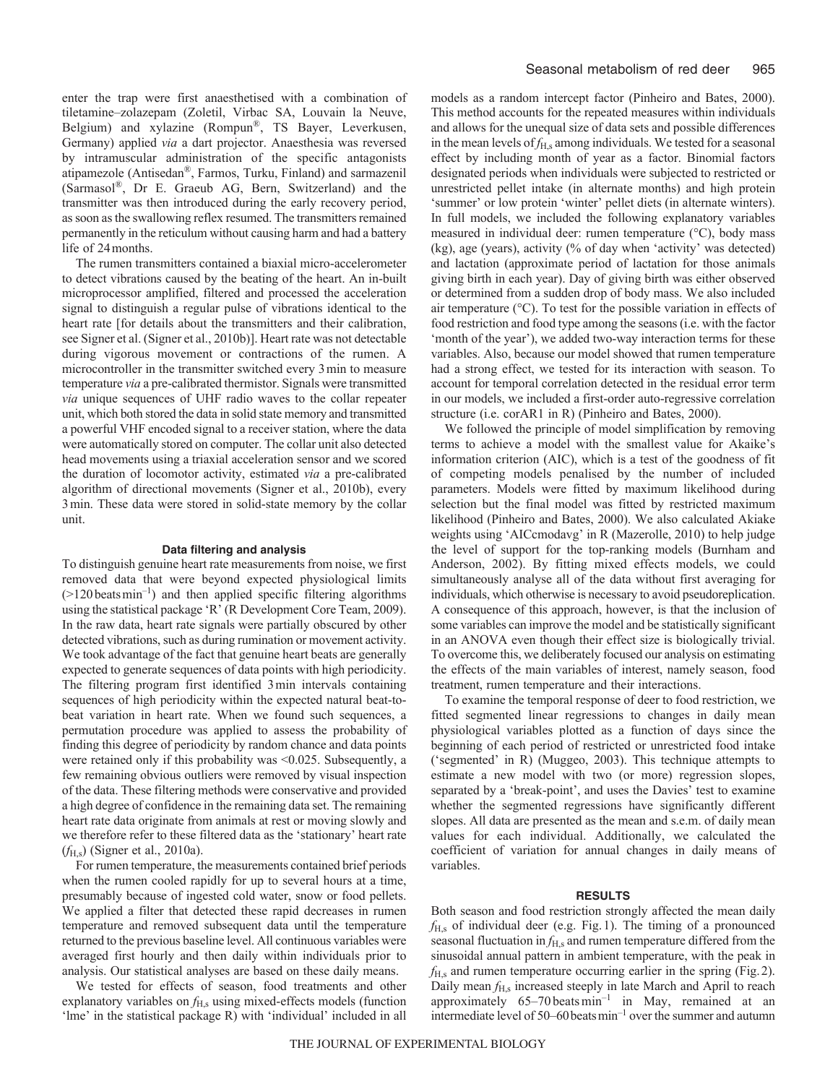enter the trap were first anaesthetised with a combination of tiletamine–zolazepam (Zoletil, Virbac SA, Louvain la Neuve, Belgium) and xylazine (Rompun®, TS Bayer, Leverkusen, Germany) applied *via* a dart projector. Anaesthesia was reversed by intramuscular administration of the specific antagonists atipamezole (Antisedan®, Farmos, Turku, Finland) and sarmazenil (Sarmasol®, Dr E. Graeub AG, Bern, Switzerland) and the transmitter was then introduced during the early recovery period, as soon as the swallowing reflex resumed. The transmitters remained permanently in the reticulum without causing harm and had a battery life of 24months.

The rumen transmitters contained a biaxial micro-accelerometer to detect vibrations caused by the beating of the heart. An in-built microprocessor amplified, filtered and processed the acceleration signal to distinguish a regular pulse of vibrations identical to the heart rate [for details about the transmitters and their calibration, see Signer et al. (Signer et al., 2010b)]. Heart rate was not detectable during vigorous movement or contractions of the rumen. A microcontroller in the transmitter switched every 3min to measure temperature *via* a pre-calibrated thermistor. Signals were transmitted *via* unique sequences of UHF radio waves to the collar repeater unit, which both stored the data in solid state memory and transmitted a powerful VHF encoded signal to a receiver station, where the data were automatically stored on computer. The collar unit also detected head movements using a triaxial acceleration sensor and we scored the duration of locomotor activity, estimated *via* a pre-calibrated algorithm of directional movements (Signer et al., 2010b), every 3min. These data were stored in solid-state memory by the collar unit.

#### **Data filtering and analysis**

To distinguish genuine heart rate measurements from noise, we first removed data that were beyond expected physiological limits  $(>120 \text{ beats min}^{-1})$  and then applied specific filtering algorithms using the statistical package 'R' (R Development Core Team, 2009). In the raw data, heart rate signals were partially obscured by other detected vibrations, such as during rumination or movement activity. We took advantage of the fact that genuine heart beats are generally expected to generate sequences of data points with high periodicity. The filtering program first identified 3min intervals containing sequences of high periodicity within the expected natural beat-tobeat variation in heart rate. When we found such sequences, a permutation procedure was applied to assess the probability of finding this degree of periodicity by random chance and data points were retained only if this probability was <0.025. Subsequently, a few remaining obvious outliers were removed by visual inspection of the data. These filtering methods were conservative and provided a high degree of confidence in the remaining data set. The remaining heart rate data originate from animals at rest or moving slowly and we therefore refer to these filtered data as the 'stationary' heart rate (*f*H,s) (Signer et al., 2010a).

For rumen temperature, the measurements contained brief periods when the rumen cooled rapidly for up to several hours at a time, presumably because of ingested cold water, snow or food pellets. We applied a filter that detected these rapid decreases in rumen temperature and removed subsequent data until the temperature returned to the previous baseline level. All continuous variables were averaged first hourly and then daily within individuals prior to analysis. Our statistical analyses are based on these daily means.

We tested for effects of season, food treatments and other explanatory variables on  $f_{H,s}$  using mixed-effects models (function 'lme' in the statistical package R) with 'individual' included in all models as a random intercept factor (Pinheiro and Bates, 2000). This method accounts for the repeated measures within individuals and allows for the unequal size of data sets and possible differences in the mean levels of  $f_{\text{H},s}$  among individuals. We tested for a seasonal effect by including month of year as a factor. Binomial factors designated periods when individuals were subjected to restricted or unrestricted pellet intake (in alternate months) and high protein 'summer' or low protein 'winter' pellet diets (in alternate winters). In full models, we included the following explanatory variables measured in individual deer: rumen temperature (°C), body mass (kg), age (years), activity (% of day when 'activity' was detected) and lactation (approximate period of lactation for those animals giving birth in each year). Day of giving birth was either observed or determined from a sudden drop of body mass. We also included air temperature (°C). To test for the possible variation in effects of food restriction and food type among the seasons (i.e. with the factor 'month of the year'), we added two-way interaction terms for these variables. Also, because our model showed that rumen temperature had a strong effect, we tested for its interaction with season. To account for temporal correlation detected in the residual error term in our models, we included a first-order auto-regressive correlation structure (i.e. corAR1 in R) (Pinheiro and Bates, 2000).

We followed the principle of model simplification by removing terms to achieve a model with the smallest value for Akaike's information criterion (AIC), which is a test of the goodness of fit of competing models penalised by the number of included parameters. Models were fitted by maximum likelihood during selection but the final model was fitted by restricted maximum likelihood (Pinheiro and Bates, 2000). We also calculated Akiake weights using 'AICcmodavg' in R (Mazerolle, 2010) to help judge the level of support for the top-ranking models (Burnham and Anderson, 2002). By fitting mixed effects models, we could simultaneously analyse all of the data without first averaging for individuals, which otherwise is necessary to avoid pseudoreplication. A consequence of this approach, however, is that the inclusion of some variables can improve the model and be statistically significant in an ANOVA even though their effect size is biologically trivial. To overcome this, we deliberately focused our analysis on estimating the effects of the main variables of interest, namely season, food treatment, rumen temperature and their interactions.

To examine the temporal response of deer to food restriction, we fitted segmented linear regressions to changes in daily mean physiological variables plotted as a function of days since the beginning of each period of restricted or unrestricted food intake ('segmented' in R) (Muggeo, 2003). This technique attempts to estimate a new model with two (or more) regression slopes, separated by a 'break-point', and uses the Davies' test to examine whether the segmented regressions have significantly different slopes. All data are presented as the mean and s.e.m. of daily mean values for each individual. Additionally, we calculated the coefficient of variation for annual changes in daily means of variables.

### **RESULTS**

Both season and food restriction strongly affected the mean daily  $f_{\text{H},s}$  of individual deer (e.g. Fig. 1). The timing of a pronounced seasonal fluctuation in  $f_{\text{H,s}}$  and rumen temperature differed from the sinusoidal annual pattern in ambient temperature, with the peak in  $f_{\text{H},s}$  and rumen temperature occurring earlier in the spring (Fig. 2). Daily mean  $f_{\text{H,s}}$  increased steeply in late March and April to reach approximately  $65-70$  beats min<sup>-1</sup> in May, remained at an intermediate level of 50–60 beats  $min^{-1}$  over the summer and autumn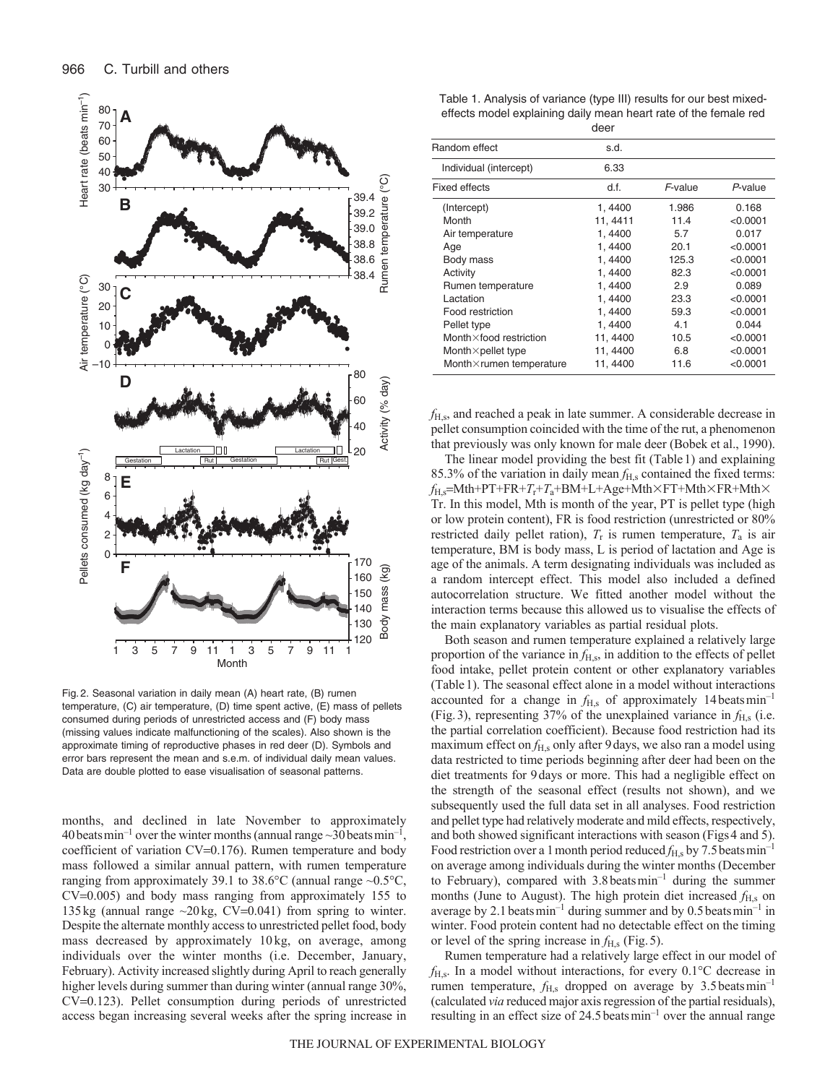

Fig. 2. Seasonal variation in daily mean (A) heart rate, (B) rumen temperature, (C) air temperature, (D) time spent active, (E) mass of pellets consumed during periods of unrestricted access and (F) body mass (missing values indicate malfunctioning of the scales). Also shown is the approximate timing of reproductive phases in red deer (D). Symbols and error bars represent the mean and s.e.m. of individual daily mean values. Data are double plotted to ease visualisation of seasonal patterns.

months, and declined in late November to approximately 40 beats min<sup>-1</sup> over the winter months (annual range  $\sim$ 30 beats min<sup>-1</sup>, coefficient of variation CV=0.176). Rumen temperature and body mass followed a similar annual pattern, with rumen temperature ranging from approximately 39.1 to 38.6°C (annual range  $\sim 0.5$ °C,  $CV=0.005$ ) and body mass ranging from approximately 155 to 135 kg (annual range  $\sim$ 20 kg, CV=0.041) from spring to winter. Despite the alternate monthly access to unrestricted pellet food, body mass decreased by approximately 10 kg, on average, among individuals over the winter months (i.e. December, January, February). Activity increased slightly during April to reach generally higher levels during summer than during winter (annual range 30%,  $CV=0.123$ ). Pellet consumption during periods of unrestricted access began increasing several weeks after the spring increase in

| Table 1. Analysis of variance (type III) results for our best mixed- |
|----------------------------------------------------------------------|
| effects model explaining daily mean heart rate of the female red     |
|                                                                      |

| deer                            |          |         |          |  |
|---------------------------------|----------|---------|----------|--|
| Random effect                   | s.d.     |         |          |  |
| Individual (intercept)          | 6.33     |         |          |  |
| Fixed effects                   | d.f.     | F-value | P-value  |  |
| (Intercept)                     | 1,4400   | 1.986   | 0.168    |  |
| Month                           | 11, 4411 | 11.4    | < 0.0001 |  |
| Air temperature                 | 1,4400   | 5.7     | 0.017    |  |
| Age                             | 1, 4400  | 20.1    | < 0.0001 |  |
| Body mass                       | 1, 4400  | 125.3   | < 0.0001 |  |
| Activity                        | 1, 4400  | 82.3    | < 0.0001 |  |
| Rumen temperature               | 1,4400   | 2.9     | 0.089    |  |
| Lactation                       | 1, 4400  | 23.3    | < 0.0001 |  |
| Food restriction                | 1, 4400  | 59.3    | < 0.0001 |  |
| Pellet type                     | 1.4400   | 4.1     | 0.044    |  |
| Month $\times$ food restriction | 11, 4400 | 10.5    | < 0.0001 |  |
| Month $\times$ pellet type      | 11, 4400 | 6.8     | < 0.0001 |  |
| Month×rumen temperature         | 11, 4400 | 11.6    | < 0.0001 |  |

*f*H,s, and reached a peak in late summer. A considerable decrease in pellet consumption coincided with the time of the rut, a phenomenon that previously was only known for male deer (Bobek et al., 1990).

The linear model providing the best fit (Table1) and explaining 85.3% of the variation in daily mean  $f_{\text{H,s}}$  contained the fixed terms:  $f_{\text{H,s}}$ =Mth+PT+FR+ $T_{\text{r}}$ + $T_{\text{a}}$ +BM+L+Age+Mth $\times$ FT+Mth $\times$ FR+Mth $\times$ Tr. In this model, Mth is month of the year, PT is pellet type (high or low protein content), FR is food restriction (unrestricted or 80% restricted daily pellet ration),  $T_r$  is rumen temperature,  $T_a$  is air temperature, BM is body mass, L is period of lactation and Age is age of the animals. A term designating individuals was included as a random intercept effect. This model also included a defined autocorrelation structure. We fitted another model without the interaction terms because this allowed us to visualise the effects of the main explanatory variables as partial residual plots.

Both season and rumen temperature explained a relatively large proportion of the variance in *f*<sub>H,s</sub>, in addition to the effects of pellet food intake, pellet protein content or other explanatory variables (Table1). The seasonal effect alone in a model without interactions accounted for a change in  $f_{H,s}$  of approximately 14 beats min<sup>-1</sup> (Fig. 3), representing 37% of the unexplained variance in  $f_{\text{H,s}}$  (i.e. the partial correlation coefficient). Because food restriction had its maximum effect on *f*<sub>H,s</sub> only after 9 days, we also ran a model using data restricted to time periods beginning after deer had been on the diet treatments for 9days or more. This had a negligible effect on the strength of the seasonal effect (results not shown), and we subsequently used the full data set in all analyses. Food restriction and pellet type had relatively moderate and mild effects, respectively, and both showed significant interactions with season (Figs4 and 5). Food restriction over a 1 month period reduced  $f_{\text{H,s}}$  by 7.5 beats min<sup>-1</sup> on average among individuals during the winter months (December to February), compared with 3.8beatsmin–1 during the summer months (June to August). The high protein diet increased  $f_{\text{H,s}}$  on average by 2.1 beats min<sup>-1</sup> during summer and by 0.5 beats min<sup>-1</sup> in winter. Food protein content had no detectable effect on the timing or level of the spring increase in  $f_{\text{H,s}}$  (Fig. 5).

Rumen temperature had a relatively large effect in our model of  $f_{\text{H},s}$ . In a model without interactions, for every 0.1 $\degree$ C decrease in rumen temperature,  $f_{\text{H,s}}$  dropped on average by 3.5 beats min<sup>-1</sup> (calculated *via* reduced major axis regression of the partial residuals), resulting in an effect size of 24.5beatsmin–1 over the annual range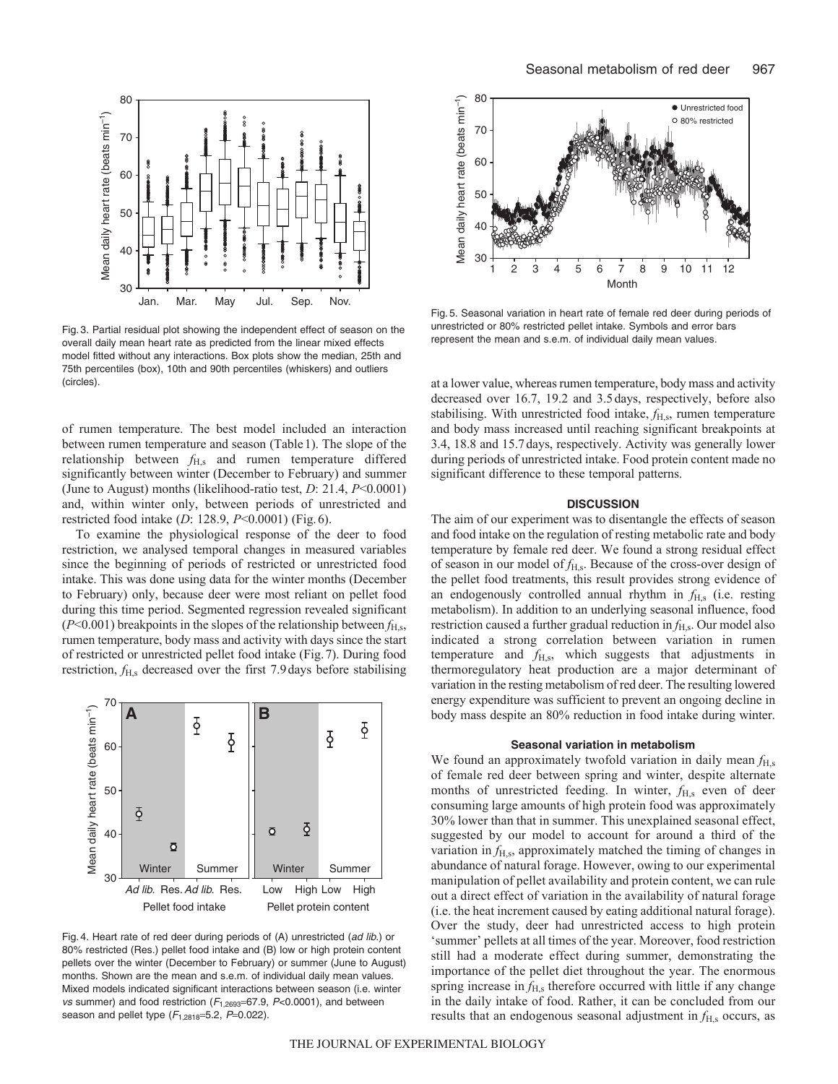

Fig. 3. Partial residual plot showing the independent effect of season on the overall daily mean heart rate as predicted from the linear mixed effects model fitted without any interactions. Box plots show the median, 25th and 75th percentiles (box), 10th and 90th percentiles (whiskers) and outliers (circles).

of rumen temperature. The best model included an interaction between rumen temperature and season (Table1). The slope of the relationship between  $f_{\text{H,s}}$  and rumen temperature differed significantly between winter (December to February) and summer (June to August) months (likelihood-ratio test, *D*: 21.4, *P*<0.0001) and, within winter only, between periods of unrestricted and restricted food intake (*D*: 128.9, *P*<0.0001) (Fig.6).

To examine the physiological response of the deer to food restriction, we analysed temporal changes in measured variables since the beginning of periods of restricted or unrestricted food intake. This was done using data for the winter months (December to February) only, because deer were most reliant on pellet food during this time period. Segmented regression revealed significant  $(P<0.001)$  breakpoints in the slopes of the relationship between  $f_{H,s}$ , rumen temperature, body mass and activity with days since the start of restricted or unrestricted pellet food intake (Fig.7). During food restriction,  $f_{H,s}$  decreased over the first 7.9 days before stabilising



Fig. 4. Heart rate of red deer during periods of (A) unrestricted (ad lib.) or 80% restricted (Res.) pellet food intake and (B) low or high protein content pellets over the winter (December to February) or summer (June to August) months. Shown are the mean and s.e.m. of individual daily mean values. Mixed models indicated significant interactions between season (i.e. winter vs summer) and food restriction  $(F_{1,2693}=67.9, P<0.0001)$ , and between season and pellet type  $(F_{1,2818}=5.2, P=0.022)$ .



Fig. 5. Seasonal variation in heart rate of female red deer during periods of unrestricted or 80% restricted pellet intake. Symbols and error bars represent the mean and s.e.m. of individual daily mean values.

at a lower value, whereas rumen temperature, body mass and activity decreased over 16.7, 19.2 and 3.5days, respectively, before also stabilising. With unrestricted food intake,  $f_{\text{H,s}}$ , rumen temperature and body mass increased until reaching significant breakpoints at 3.4, 18.8 and 15.7days, respectively. Activity was generally lower during periods of unrestricted intake. Food protein content made no significant difference to these temporal patterns.

## **DISCUSSION**

The aim of our experiment was to disentangle the effects of season and food intake on the regulation of resting metabolic rate and body temperature by female red deer. We found a strong residual effect of season in our model of  $f_{\text{H,s}}$ . Because of the cross-over design of the pellet food treatments, this result provides strong evidence of an endogenously controlled annual rhythm in *f*<sub>H,s</sub> (i.e. resting metabolism). In addition to an underlying seasonal influence, food restriction caused a further gradual reduction in *f*<sub>H,s</sub>. Our model also indicated a strong correlation between variation in rumen temperature and  $f_{\text{H,s}}$ , which suggests that adjustments in thermoregulatory heat production are a major determinant of variation in the resting metabolism of red deer. The resulting lowered energy expenditure was sufficient to prevent an ongoing decline in body mass despite an 80% reduction in food intake during winter.

## **Seasonal variation in metabolism**

We found an approximately twofold variation in daily mean  $f_{\text{H,s}}$ of female red deer between spring and winter, despite alternate months of unrestricted feeding. In winter,  $f_{H,s}$  even of deer consuming large amounts of high protein food was approximately 30% lower than that in summer. This unexplained seasonal effect, suggested by our model to account for around a third of the variation in  $f_{\text{H,s}}$ , approximately matched the timing of changes in abundance of natural forage. However, owing to our experimental manipulation of pellet availability and protein content, we can rule out a direct effect of variation in the availability of natural forage (i.e. the heat increment caused by eating additional natural forage). Over the study, deer had unrestricted access to high protein 'summer' pellets at all times of the year. Moreover, food restriction still had a moderate effect during summer, demonstrating the importance of the pellet diet throughout the year. The enormous spring increase in  $f_{\text{H},s}$  therefore occurred with little if any change in the daily intake of food. Rather, it can be concluded from our results that an endogenous seasonal adjustment in  $f_{\text{H,s}}$  occurs, as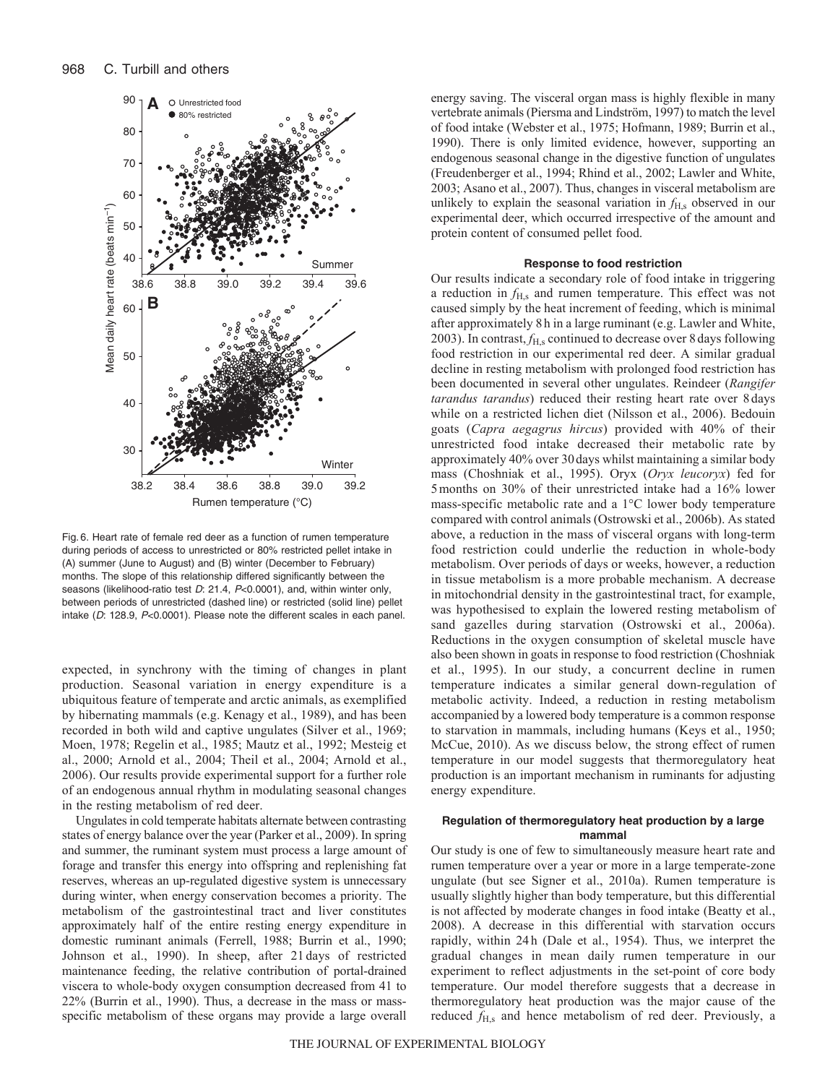

Fig. 6. Heart rate of female red deer as a function of rumen temperature during periods of access to unrestricted or 80% restricted pellet intake in (A) summer (June to August) and (B) winter (December to February) months. The slope of this relationship differed significantly between the seasons (likelihood-ratio test *D*: 21.4, *P*<0.0001), and, within winter only, between periods of unrestricted (dashed line) or restricted (solid line) pellet intake (D: 128.9, P<0.0001). Please note the different scales in each panel.

expected, in synchrony with the timing of changes in plant production. Seasonal variation in energy expenditure is a ubiquitous feature of temperate and arctic animals, as exemplified by hibernating mammals (e.g. Kenagy et al., 1989), and has been recorded in both wild and captive ungulates (Silver et al., 1969; Moen, 1978; Regelin et al., 1985; Mautz et al., 1992; Mesteig et al., 2000; Arnold et al., 2004; Theil et al., 2004; Arnold et al., 2006). Our results provide experimental support for a further role of an endogenous annual rhythm in modulating seasonal changes in the resting metabolism of red deer.

Ungulates in cold temperate habitats alternate between contrasting states of energy balance over the year (Parker et al., 2009). In spring and summer, the ruminant system must process a large amount of forage and transfer this energy into offspring and replenishing fat reserves, whereas an up-regulated digestive system is unnecessary during winter, when energy conservation becomes a priority. The metabolism of the gastrointestinal tract and liver constitutes approximately half of the entire resting energy expenditure in domestic ruminant animals (Ferrell, 1988; Burrin et al., 1990; Johnson et al., 1990). In sheep, after 21 days of restricted maintenance feeding, the relative contribution of portal-drained viscera to whole-body oxygen consumption decreased from 41 to 22% (Burrin et al., 1990). Thus, a decrease in the mass or massspecific metabolism of these organs may provide a large overall

energy saving. The visceral organ mass is highly flexible in many vertebrate animals (Piersma and Lindström, 1997) to match the level of food intake (Webster et al., 1975; Hofmann, 1989; Burrin et al., 1990). There is only limited evidence, however, supporting an endogenous seasonal change in the digestive function of ungulates (Freudenberger et al., 1994; Rhind et al., 2002; Lawler and White, 2003; Asano et al., 2007). Thus, changes in visceral metabolism are unlikely to explain the seasonal variation in  $f_{\text{H},s}$  observed in our experimental deer, which occurred irrespective of the amount and protein content of consumed pellet food.

### **Response to food restriction**

Our results indicate a secondary role of food intake in triggering a reduction in  $f_{\text{H,s}}$  and rumen temperature. This effect was not caused simply by the heat increment of feeding, which is minimal after approximately 8h in a large ruminant (e.g. Lawler and White, 2003). In contrast,  $f_{\text{H},s}$  continued to decrease over 8 days following food restriction in our experimental red deer. A similar gradual decline in resting metabolism with prolonged food restriction has been documented in several other ungulates. Reindeer (*Rangifer tarandus tarandus*) reduced their resting heart rate over 8days while on a restricted lichen diet (Nilsson et al., 2006). Bedouin goats (*Capra aegagrus hircus*) provided with 40% of their unrestricted food intake decreased their metabolic rate by approximately 40% over 30days whilst maintaining a similar body mass (Choshniak et al., 1995). Oryx (*Oryx leucoryx*) fed for 5months on 30% of their unrestricted intake had a 16% lower mass-specific metabolic rate and a 1°C lower body temperature compared with control animals (Ostrowski et al., 2006b). As stated above, a reduction in the mass of visceral organs with long-term food restriction could underlie the reduction in whole-body metabolism. Over periods of days or weeks, however, a reduction in tissue metabolism is a more probable mechanism. A decrease in mitochondrial density in the gastrointestinal tract, for example, was hypothesised to explain the lowered resting metabolism of sand gazelles during starvation (Ostrowski et al., 2006a). Reductions in the oxygen consumption of skeletal muscle have also been shown in goats in response to food restriction (Choshniak et al., 1995). In our study, a concurrent decline in rumen temperature indicates a similar general down-regulation of metabolic activity. Indeed, a reduction in resting metabolism accompanied by a lowered body temperature is a common response to starvation in mammals, including humans (Keys et al., 1950; McCue, 2010). As we discuss below, the strong effect of rumen temperature in our model suggests that thermoregulatory heat production is an important mechanism in ruminants for adjusting energy expenditure.

# **Regulation of thermoregulatory heat production by a large mammal**

Our study is one of few to simultaneously measure heart rate and rumen temperature over a year or more in a large temperate-zone ungulate (but see Signer et al., 2010a). Rumen temperature is usually slightly higher than body temperature, but this differential is not affected by moderate changes in food intake (Beatty et al., 2008). A decrease in this differential with starvation occurs rapidly, within 24 h (Dale et al., 1954). Thus, we interpret the gradual changes in mean daily rumen temperature in our experiment to reflect adjustments in the set-point of core body temperature. Our model therefore suggests that a decrease in thermoregulatory heat production was the major cause of the reduced  $f_{\text{H,s}}$  and hence metabolism of red deer. Previously, a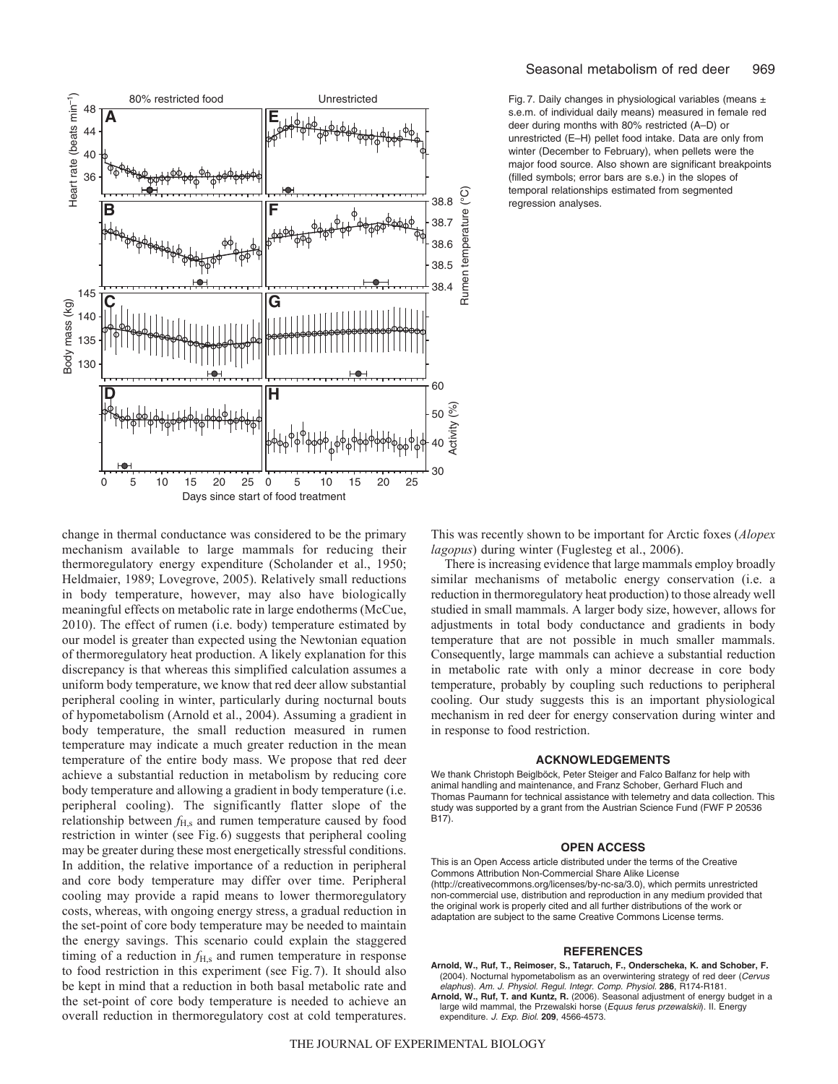

change in thermal conductance was considered to be the primary mechanism available to large mammals for reducing their thermoregulatory energy expenditure (Scholander et al., 1950; Heldmaier, 1989; Lovegrove, 2005). Relatively small reductions in body temperature, however, may also have biologically meaningful effects on metabolic rate in large endotherms (McCue, 2010). The effect of rumen (i.e. body) temperature estimated by our model is greater than expected using the Newtonian equation of thermoregulatory heat production. A likely explanation for this discrepancy is that whereas this simplified calculation assumes a uniform body temperature, we know that red deer allow substantial peripheral cooling in winter, particularly during nocturnal bouts of hypometabolism (Arnold et al., 2004). Assuming a gradient in body temperature, the small reduction measured in rumen temperature may indicate a much greater reduction in the mean temperature of the entire body mass. We propose that red deer achieve a substantial reduction in metabolism by reducing core body temperature and allowing a gradient in body temperature (i.e. peripheral cooling). The significantly flatter slope of the relationship between  $f_{\text{H,s}}$  and rumen temperature caused by food restriction in winter (see Fig. 6) suggests that peripheral cooling may be greater during these most energetically stressful conditions. In addition, the relative importance of a reduction in peripheral and core body temperature may differ over time. Peripheral cooling may provide a rapid means to lower thermoregulatory costs, whereas, with ongoing energy stress, a gradual reduction in the set-point of core body temperature may be needed to maintain the energy savings. This scenario could explain the staggered timing of a reduction in  $f_{\text{H},s}$  and rumen temperature in response to food restriction in this experiment (see Fig.7). It should also be kept in mind that a reduction in both basal metabolic rate and the set-point of core body temperature is needed to achieve an overall reduction in thermoregulatory cost at cold temperatures.

s.e.m. of individual daily means) measured in female red deer during months with 80% restricted (A–D) or unrestricted (E–H) pellet food intake. Data are only from winter (December to February), when pellets were the major food source. Also shown are significant breakpoints (filled symbols; error bars are s.e.) in the slopes of temporal relationships estimated from segmented regression analyses.

This was recently shown to be important for Arctic foxes (*Alopex lagopus*) during winter (Fuglesteg et al., 2006).

There is increasing evidence that large mammals employ broadly similar mechanisms of metabolic energy conservation (i.e. a reduction in thermoregulatory heat production) to those already well studied in small mammals. A larger body size, however, allows for adjustments in total body conductance and gradients in body temperature that are not possible in much smaller mammals. Consequently, large mammals can achieve a substantial reduction in metabolic rate with only a minor decrease in core body temperature, probably by coupling such reductions to peripheral cooling. Our study suggests this is an important physiological mechanism in red deer for energy conservation during winter and in response to food restriction.

### **ACKNOWLEDGEMENTS**

We thank Christoph Beiglböck, Peter Steiger and Falco Balfanz for help with animal handling and maintenance, and Franz Schober, Gerhard Fluch and Thomas Paumann for technical assistance with telemetry and data collection. This study was supported by a grant from the Austrian Science Fund (FWF P 20536 B17).

### **OPEN ACCESS**

This is an Open Access article distributed under the terms of the Creative Commons Attribution Non-Commercial Share Alike License (http://creativecommons.org/licenses/by-nc-sa/3.0), which permits unrestricted non-commercial use, distribution and reproduction in any medium provided that the original work is properly cited and all further distributions of the work or adaptation are subject to the same Creative Commons License terms.

#### **REFERENCES**

- **Arnold, W., Ruf, T., Reimoser, S., Tataruch, F., Onderscheka, K. and Schober, F.** (2004). Nocturnal hypometabolism as an overwintering strategy of red deer (Cervus elaphus). Am. J. Physiol. Regul. Integr. Comp. Physiol. **286**, R174-R181.
- **Arnold, W., Ruf, T. and Kuntz, R.** (2006). Seasonal adjustment of energy budget in a large wild mammal, the Przewalski horse (Equus ferus przewalskii). II. Energy expenditure. J. Exp. Biol. **209**, 4566-4573.